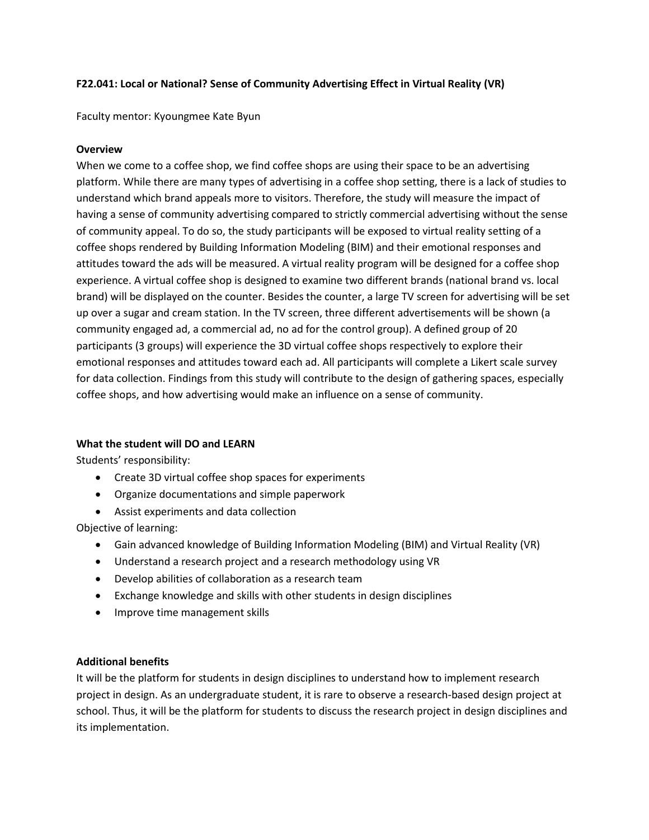## **F22.041: Local or National? Sense of Community Advertising Effect in Virtual Reality (VR)**

Faculty mentor: Kyoungmee Kate Byun

#### **Overview**

When we come to a coffee shop, we find coffee shops are using their space to be an advertising platform. While there are many types of advertising in a coffee shop setting, there is a lack of studies to understand which brand appeals more to visitors. Therefore, the study will measure the impact of having a sense of community advertising compared to strictly commercial advertising without the sense of community appeal. To do so, the study participants will be exposed to virtual reality setting of a coffee shops rendered by Building Information Modeling (BIM) and their emotional responses and attitudes toward the ads will be measured. A virtual reality program will be designed for a coffee shop experience. A virtual coffee shop is designed to examine two different brands (national brand vs. local brand) will be displayed on the counter. Besides the counter, a large TV screen for advertising will be set up over a sugar and cream station. In the TV screen, three different advertisements will be shown (a community engaged ad, a commercial ad, no ad for the control group). A defined group of 20 participants (3 groups) will experience the 3D virtual coffee shops respectively to explore their emotional responses and attitudes toward each ad. All participants will complete a Likert scale survey for data collection. Findings from this study will contribute to the design of gathering spaces, especially coffee shops, and how advertising would make an influence on a sense of community.

#### **What the student will DO and LEARN**

Students' responsibility:

- Create 3D virtual coffee shop spaces for experiments
- Organize documentations and simple paperwork
- Assist experiments and data collection

Objective of learning:

- Gain advanced knowledge of Building Information Modeling (BIM) and Virtual Reality (VR)
- Understand a research project and a research methodology using VR
- Develop abilities of collaboration as a research team
- Exchange knowledge and skills with other students in design disciplines
- Improve time management skills

#### **Additional benefits**

It will be the platform for students in design disciplines to understand how to implement research project in design. As an undergraduate student, it is rare to observe a research-based design project at school. Thus, it will be the platform for students to discuss the research project in design disciplines and its implementation.